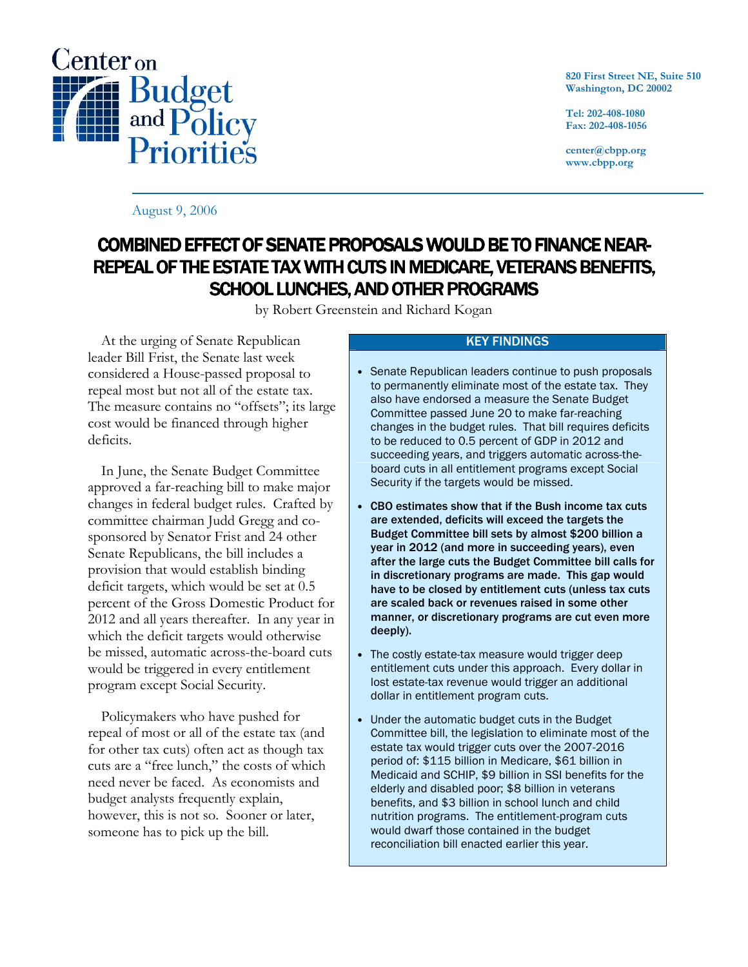

820 First Street NE, Suite 510 Washington, DC 20002

Tel: 202-408-1080 Fax: 202-408-1056

center@cbpp.org www.cbpp.org

August 9, 2006

# COMBINED EFFECT OF SENATE PROPOSALS WOULD BE TO FINANCE NEAR-REPEAL OF THE ESTATE TAX WITH CUTS IN MEDICARE, VETERANS BENEFITS, SCHOOL LUNCHES, AND OTHER PROGRAMS

by Robert Greenstein and Richard Kogan

 At the urging of Senate Republican leader Bill Frist, the Senate last week considered a House-passed proposal to repeal most but not all of the estate tax. The measure contains no "offsets"; its large cost would be financed through higher deficits.

 In June, the Senate Budget Committee approved a far-reaching bill to make major changes in federal budget rules. Crafted by committee chairman Judd Gregg and cosponsored by Senator Frist and 24 other Senate Republicans, the bill includes a provision that would establish binding deficit targets, which would be set at 0.5 percent of the Gross Domestic Product for 2012 and all years thereafter. In any year in which the deficit targets would otherwise be missed, automatic across-the-board cuts would be triggered in every entitlement program except Social Security.

 Policymakers who have pushed for repeal of most or all of the estate tax (and for other tax cuts) often act as though tax cuts are a "free lunch," the costs of which need never be faced. As economists and budget analysts frequently explain, however, this is not so. Sooner or later, someone has to pick up the bill.

## KEY FINDINGS

- Senate Republican leaders continue to push proposals to permanently eliminate most of the estate tax. They also have endorsed a measure the Senate Budget Committee passed June 20 to make far-reaching changes in the budget rules. That bill requires deficits to be reduced to 0.5 percent of GDP in 2012 and succeeding years, and triggers automatic across-theboard cuts in all entitlement programs except Social Security if the targets would be missed.
- CBO estimates show that if the Bush income tax cuts are extended, deficits will exceed the targets the Budget Committee bill sets by almost \$200 billion a year in 2012 (and more in succeeding years), even after the large cuts the Budget Committee bill calls for in discretionary programs are made. This gap would have to be closed by entitlement cuts (unless tax cuts are scaled back or revenues raised in some other manner, or discretionary programs are cut even more deeply).
- The costly estate-tax measure would trigger deep entitlement cuts under this approach. Every dollar in lost estate-tax revenue would trigger an additional dollar in entitlement program cuts.
- Under the automatic budget cuts in the Budget Committee bill, the legislation to eliminate most of the estate tax would trigger cuts over the 2007-2016 period of: \$115 billion in Medicare, \$61 billion in Medicaid and SCHIP, \$9 billion in SSI benefits for the elderly and disabled poor; \$8 billion in veterans benefits, and \$3 billion in school lunch and child nutrition programs. The entitlement-program cuts would dwarf those contained in the budget reconciliation bill enacted earlier this year.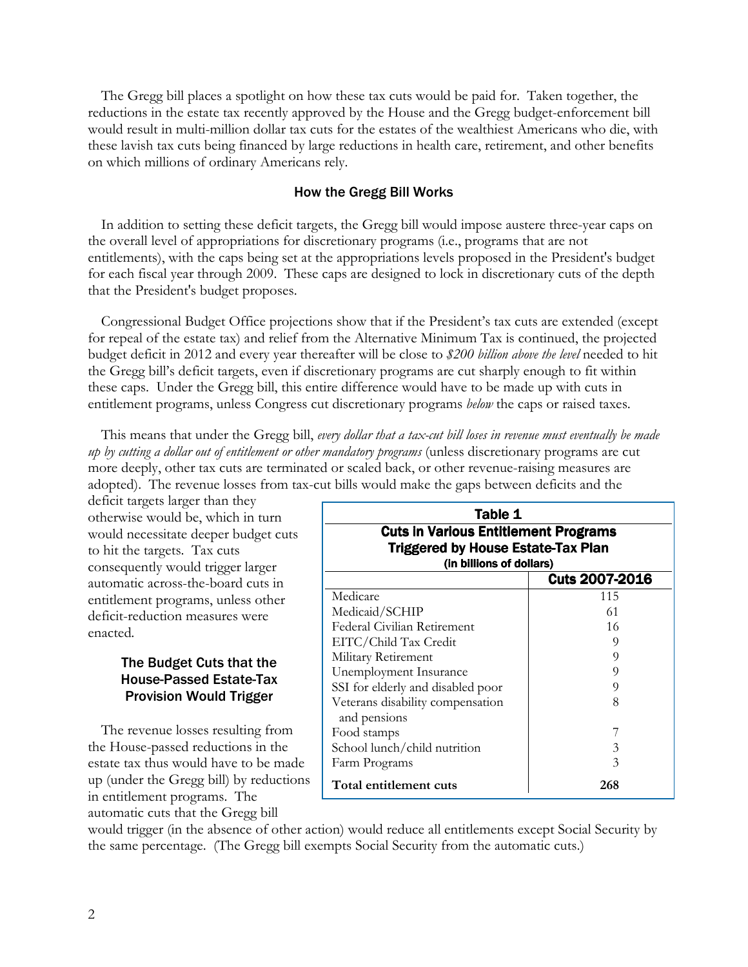The Gregg bill places a spotlight on how these tax cuts would be paid for. Taken together, the reductions in the estate tax recently approved by the House and the Gregg budget-enforcement bill would result in multi-million dollar tax cuts for the estates of the wealthiest Americans who die, with these lavish tax cuts being financed by large reductions in health care, retirement, and other benefits on which millions of ordinary Americans rely.

## How the Gregg Bill Works

 In addition to setting these deficit targets, the Gregg bill would impose austere three-year caps on the overall level of appropriations for discretionary programs (i.e., programs that are not entitlements), with the caps being set at the appropriations levels proposed in the President's budget for each fiscal year through 2009. These caps are designed to lock in discretionary cuts of the depth that the President's budget proposes.

 Congressional Budget Office projections show that if the President's tax cuts are extended (except for repeal of the estate tax) and relief from the Alternative Minimum Tax is continued, the projected budget deficit in 2012 and every year thereafter will be close to \$200 billion above the level needed to hit the Gregg bill's deficit targets, even if discretionary programs are cut sharply enough to fit within these caps. Under the Gregg bill, this entire difference would have to be made up with cuts in entitlement programs, unless Congress cut discretionary programs *below* the caps or raised taxes.

This means that under the Gregg bill, every dollar that a tax-cut bill loses in revenue must eventually be made up by cutting a dollar out of entitlement or other mandatory programs (unless discretionary programs are cut more deeply, other tax cuts are terminated or scaled back, or other revenue-raising measures are adopted). The revenue losses from tax-cut bills would make the gaps between deficits and the

deficit targets larger than they otherwise would be, which in turn would necessitate deeper budget cuts to hit the targets. Tax cuts consequently would trigger larger automatic across-the-board cuts in entitlement programs, unless other deficit-reduction measures were enacted.

## The Budget Cuts that the House-Passed Estate-Tax Provision Would Trigger

 The revenue losses resulting from the House-passed reductions in the estate tax thus would have to be made up (under the Gregg bill) by reductions in entitlement programs. The automatic cuts that the Gregg bill

| Table 1<br><b>Cuts in Various Entitlement Programs</b><br><b>Triggered by House Estate-Tax Plan</b><br>(in billions of dollars) |                       |
|---------------------------------------------------------------------------------------------------------------------------------|-----------------------|
|                                                                                                                                 | <b>Cuts 2007-2016</b> |
| Medicare                                                                                                                        | 115                   |
| Medicaid/SCHIP                                                                                                                  | 61                    |
| Federal Civilian Retirement                                                                                                     | 16                    |
| EITC/Child Tax Credit                                                                                                           | 9                     |
| Military Retirement                                                                                                             | 9                     |
| Unemployment Insurance                                                                                                          | 9                     |
| SSI for elderly and disabled poor                                                                                               | 9                     |
| Veterans disability compensation<br>and pensions                                                                                | 8                     |
| Food stamps                                                                                                                     |                       |
| School lunch/child nutrition                                                                                                    | 3                     |
| Farm Programs                                                                                                                   | 3                     |
| Total entitlement cuts                                                                                                          | 268                   |

would trigger (in the absence of other action) would reduce all entitlements except Social Security by the same percentage. (The Gregg bill exempts Social Security from the automatic cuts.)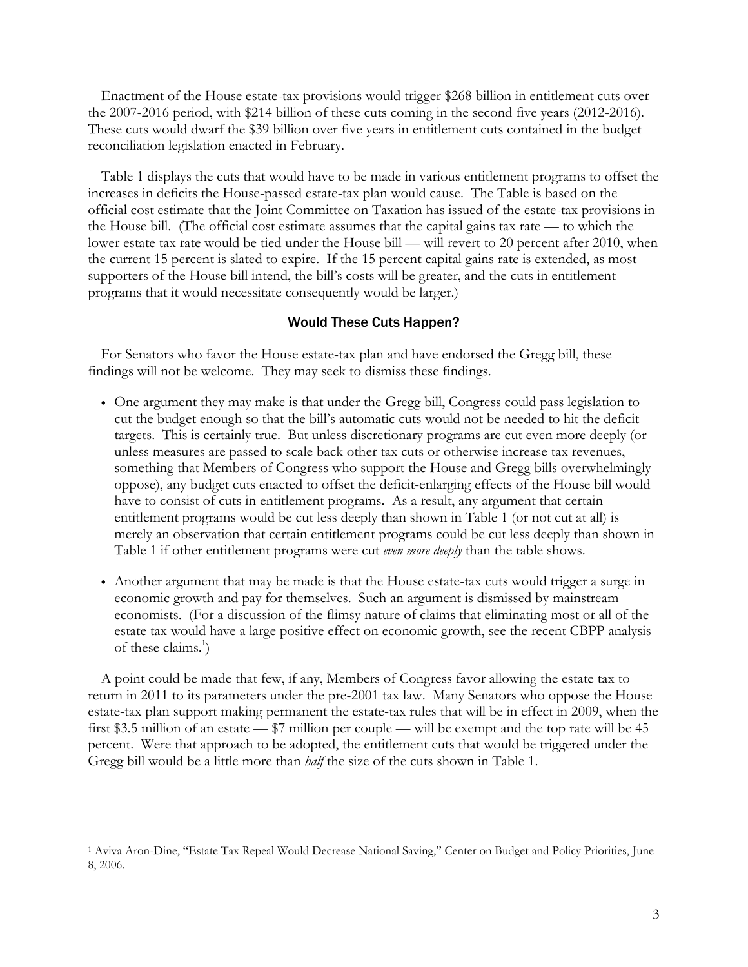Enactment of the House estate-tax provisions would trigger \$268 billion in entitlement cuts over the 2007-2016 period, with \$214 billion of these cuts coming in the second five years (2012-2016). These cuts would dwarf the \$39 billion over five years in entitlement cuts contained in the budget reconciliation legislation enacted in February.

 Table 1 displays the cuts that would have to be made in various entitlement programs to offset the increases in deficits the House-passed estate-tax plan would cause. The Table is based on the official cost estimate that the Joint Committee on Taxation has issued of the estate-tax provisions in the House bill. (The official cost estimate assumes that the capital gains tax rate — to which the lower estate tax rate would be tied under the House bill — will revert to 20 percent after 2010, when the current 15 percent is slated to expire. If the 15 percent capital gains rate is extended, as most supporters of the House bill intend, the bill's costs will be greater, and the cuts in entitlement programs that it would necessitate consequently would be larger.)

## Would These Cuts Happen?

For Senators who favor the House estate-tax plan and have endorsed the Gregg bill, these findings will not be welcome. They may seek to dismiss these findings.

- One argument they may make is that under the Gregg bill, Congress could pass legislation to cut the budget enough so that the bill's automatic cuts would not be needed to hit the deficit targets. This is certainly true. But unless discretionary programs are cut even more deeply (or unless measures are passed to scale back other tax cuts or otherwise increase tax revenues, something that Members of Congress who support the House and Gregg bills overwhelmingly oppose), any budget cuts enacted to offset the deficit-enlarging effects of the House bill would have to consist of cuts in entitlement programs. As a result, any argument that certain entitlement programs would be cut less deeply than shown in Table 1 (or not cut at all) is merely an observation that certain entitlement programs could be cut less deeply than shown in Table 1 if other entitlement programs were cut even more deeply than the table shows.
- Another argument that may be made is that the House estate-tax cuts would trigger a surge in economic growth and pay for themselves. Such an argument is dismissed by mainstream economists. (For a discussion of the flimsy nature of claims that eliminating most or all of the estate tax would have a large positive effect on economic growth, see the recent CBPP analysis of these claims. $\hat{ }$ )

A point could be made that few, if any, Members of Congress favor allowing the estate tax to return in 2011 to its parameters under the pre-2001 tax law. Many Senators who oppose the House estate-tax plan support making permanent the estate-tax rules that will be in effect in 2009, when the first \$3.5 million of an estate — \$7 million per couple — will be exempt and the top rate will be 45 percent. Were that approach to be adopted, the entitlement cuts that would be triggered under the Gregg bill would be a little more than *half* the size of the cuts shown in Table 1.

 $\overline{a}$ 

<sup>1</sup> Aviva Aron-Dine, "Estate Tax Repeal Would Decrease National Saving," Center on Budget and Policy Priorities, June 8, 2006.